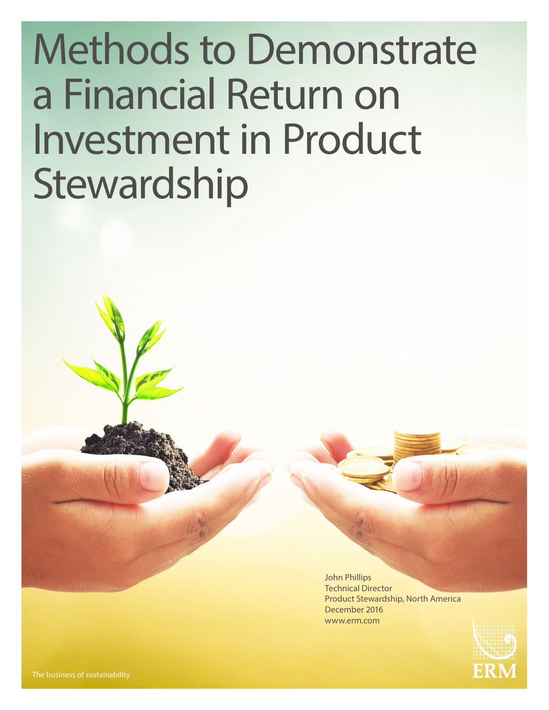# Methods to Demonstrate a Financial Return on Investment in Product Stewardship

John Phillips Technical Director Product Stewardship, North America December 2016 www.erm.com

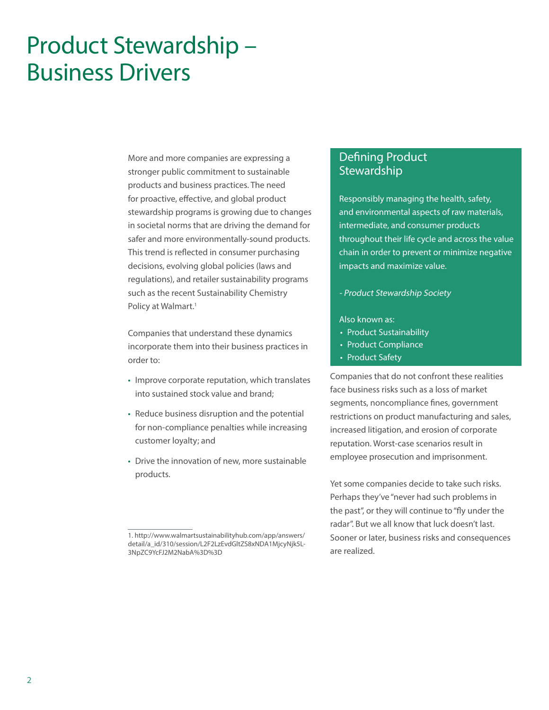# Product Stewardship – Business Drivers

More and more companies are expressing a stronger public commitment to sustainable products and business practices. The need for proactive, effective, and global product stewardship programs is growing due to changes in societal norms that are driving the demand for safer and more environmentally-sound products. This trend is reflected in consumer purchasing decisions, evolving global policies (laws and regulations), and retailer sustainability programs such as the recent Sustainability Chemistry Policy at Walmart.<sup>1</sup>

Companies that understand these dynamics incorporate them into their business practices in order to:

- Improve corporate reputation, which translates into sustained stock value and brand;
- Reduce business disruption and the potential for non-compliance penalties while increasing customer loyalty; and
- Drive the innovation of new, more sustainable products.

# Defining Product **Stewardship**

Responsibly managing the health, safety, and environmental aspects of raw materials, intermediate, and consumer products throughout their life cycle and across the value chain in order to prevent or minimize negative impacts and maximize value.

- Product Stewardship Society

#### Also known as:

- Product Sustainability
- Product Compliance
- Product Safety

Companies that do not confront these realities face business risks such as a loss of market segments, noncompliance fines, government restrictions on product manufacturing and sales, increased litigation, and erosion of corporate reputation. Worst-case scenarios result in employee prosecution and imprisonment.

Yet some companies decide to take such risks. Perhaps they've "never had such problems in the past", or they will continue to "fly under the radar". But we all know that luck doesn't last. Sooner or later, business risks and consequences are realized.

<sup>1.</sup> http://www.walmartsustainabilityhub.com/app/answers/ detail/a\_id/310/session/L2F2LzEvdGltZS8xNDA1MjcyNjk5L-3NpZC9YcFJ2M2NabA%3D%3D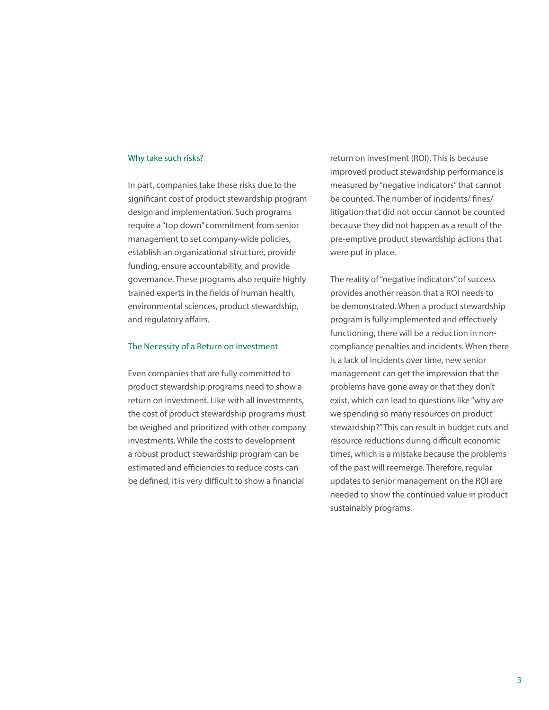#### Why take such risks?

In part, companies take these risks due to the significant cost of product stewardship program design and implementation. Such programs require a "top down" commitment from senior management to set company-wide policies, establish an organizational structure, provide funding, ensure accountability, and provide governance. These programs also require highly trained experts in the fields of human health, environmental sciences, product stewardship, and regulatory affairs.

#### The Necessity of a Return on Investment

Even companies that are fully committed to product stewardship programs need to show a return on investment. Like with all investments, the cost of product stewardship programs must be weighed and prioritized with other company investments. While the costs to development a robust product stewardship program can be estimated and efficiencies to reduce costs can be defined, it is very difficult to show a financial

return on investment (ROI). This is because improved product stewardship performance is measured by "negative indicators" that cannot be counted. The number of incidents/ fines/ litigation that did not occur cannot be counted because they did not happen as a result of the pre-emptive product stewardship actions that were put in place.

The reality of "negative indicators" of success provides another reason that a ROI needs to be demonstrated. When a product stewardship program is fully implemented and effectively functioning, there will be a reduction in noncompliance penalties and incidents. When there is a lack of incidents over time, new senior management can get the impression that the problems have gone away or that they don't exist, which can lead to questions like "why are we spending so many resources on product stewardship?" This can result in budget cuts and resource reductions during difficult economic times, which is a mistake because the problems of the past will reemerge. Therefore, regular updates to senior management on the ROI are needed to show the continued value in product sustainably programs.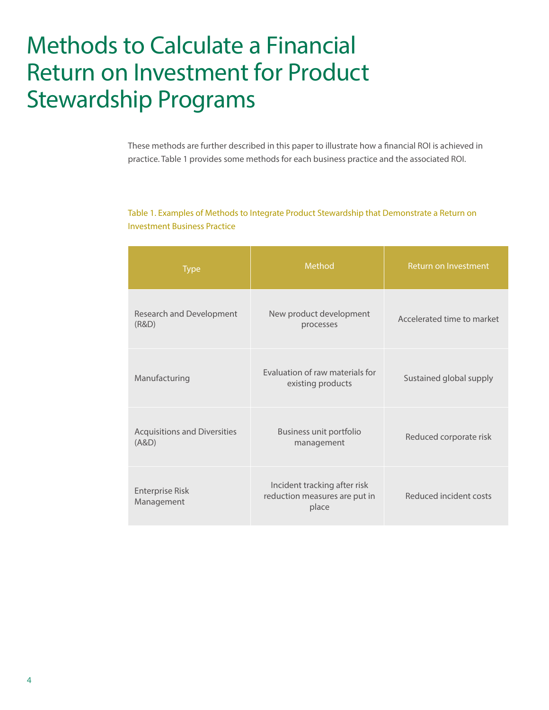# Methods to Calculate a Financial Return on Investment for Product Stewardship Programs

These methods are further described in this paper to illustrate how a financial ROI is achieved in practice. Table 1 provides some methods for each business practice and the associated ROI.

# Table 1. Examples of Methods to Integrate Product Stewardship that Demonstrate a Return on Investment Business Practice

| <b>Type</b>                                  | Method                                                                 | Return on Investment       |
|----------------------------------------------|------------------------------------------------------------------------|----------------------------|
| Research and Development<br>(R&D)            | New product development<br>processes                                   | Accelerated time to market |
| Manufacturing                                | Evaluation of raw materials for<br>existing products                   | Sustained global supply    |
| <b>Acquisitions and Diversities</b><br>(A&D) | Business unit portfolio<br>management                                  | Reduced corporate risk     |
| <b>Enterprise Risk</b><br>Management         | Incident tracking after risk<br>reduction measures are put in<br>place | Reduced incident costs     |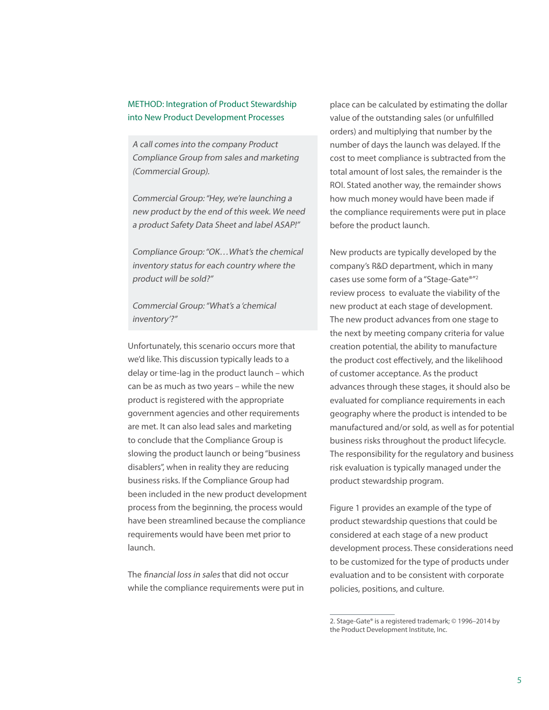### METHOD: Integration of Product Stewardship into New Product Development Processes

A call comes into the company Product Compliance Group from sales and marketing (Commercial Group).

Commercial Group: "Hey, we're launching a new product by the end of this week. We need a product Safety Data Sheet and label ASAP!"

Compliance Group: "OK…What's the chemical inventory status for each country where the product will be sold?"

Commercial Group: "What's a 'chemical inventory'?"

Unfortunately, this scenario occurs more that we'd like. This discussion typically leads to a delay or time-lag in the product launch – which can be as much as two years – while the new product is registered with the appropriate government agencies and other requirements are met. It can also lead sales and marketing to conclude that the Compliance Group is slowing the product launch or being "business disablers", when in reality they are reducing business risks. If the Compliance Group had been included in the new product development process from the beginning, the process would have been streamlined because the compliance requirements would have been met prior to launch.

The financial loss in sales that did not occur while the compliance requirements were put in place can be calculated by estimating the dollar value of the outstanding sales (or unfulfilled orders) and multiplying that number by the number of days the launch was delayed. If the cost to meet compliance is subtracted from the total amount of lost sales, the remainder is the ROI. Stated another way, the remainder shows how much money would have been made if the compliance requirements were put in place before the product launch.

New products are typically developed by the company's R&D department, which in many cases use some form of a "Stage-Gate®"2 review process to evaluate the viability of the new product at each stage of development. The new product advances from one stage to the next by meeting company criteria for value creation potential, the ability to manufacture the product cost effectively, and the likelihood of customer acceptance. As the product advances through these stages, it should also be evaluated for compliance requirements in each geography where the product is intended to be manufactured and/or sold, as well as for potential business risks throughout the product lifecycle. The responsibility for the regulatory and business risk evaluation is typically managed under the product stewardship program.

Figure 1 provides an example of the type of product stewardship questions that could be considered at each stage of a new product development process. These considerations need to be customized for the type of products under evaluation and to be consistent with corporate policies, positions, and culture.

<sup>2.</sup> Stage-Gate® is a registered trademark; © 1996–2014 by the Product Development Institute, Inc.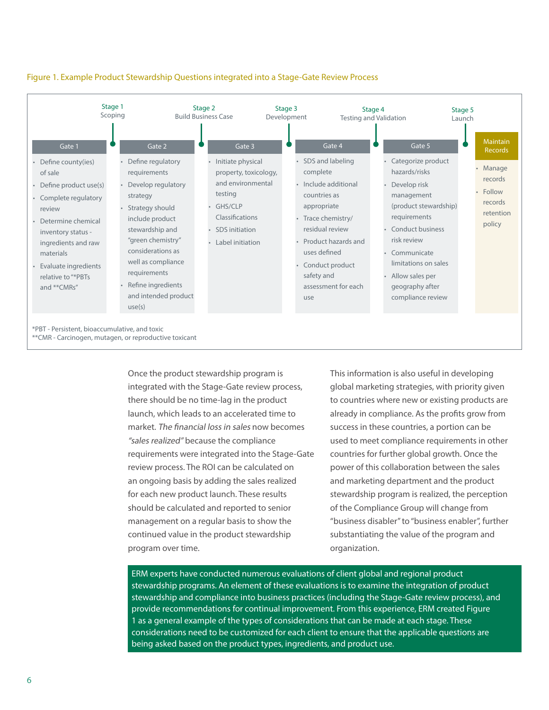

### Figure 1. Example Product Stewardship Questions integrated into a Stage-Gate Review Process

Once the product stewardship program is integrated with the Stage-Gate review process, there should be no time-lag in the product launch, which leads to an accelerated time to market. The financial loss in sales now becomes "sales realized" because the compliance requirements were integrated into the Stage-Gate review process. The ROI can be calculated on an ongoing basis by adding the sales realized for each new product launch. These results should be calculated and reported to senior management on a regular basis to show the continued value in the product stewardship program over time.

This information is also useful in developing global marketing strategies, with priority given to countries where new or existing products are already in compliance. As the profits grow from success in these countries, a portion can be used to meet compliance requirements in other countries for further global growth. Once the power of this collaboration between the sales and marketing department and the product stewardship program is realized, the perception of the Compliance Group will change from "business disabler" to "business enabler", further substantiating the value of the program and organization.

ERM experts have conducted numerous evaluations of client global and regional product stewardship programs. An element of these evaluations is to examine the integration of product stewardship and compliance into business practices (including the Stage-Gate review process), and provide recommendations for continual improvement. From this experience, ERM created Figure 1 as a general example of the types of considerations that can be made at each stage. These considerations need to be customized for each client to ensure that the applicable questions are being asked based on the product types, ingredients, and product use.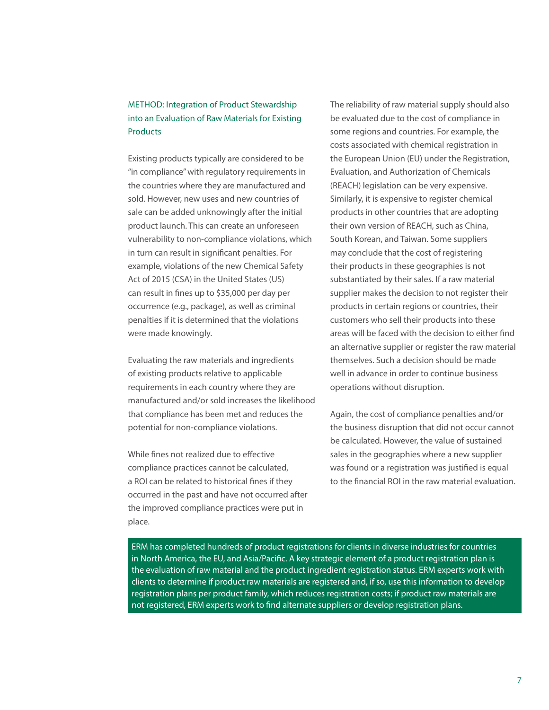# METHOD: Integration of Product Stewardship into an Evaluation of Raw Materials for Existing **Products**

Existing products typically are considered to be "in compliance" with regulatory requirements in the countries where they are manufactured and sold. However, new uses and new countries of sale can be added unknowingly after the initial product launch. This can create an unforeseen vulnerability to non-compliance violations, which in turn can result in significant penalties. For example, violations of the new Chemical Safety Act of 2015 (CSA) in the United States (US) can result in fines up to \$35,000 per day per occurrence (e.g., package), as well as criminal penalties if it is determined that the violations were made knowingly.

Evaluating the raw materials and ingredients of existing products relative to applicable requirements in each country where they are manufactured and/or sold increases the likelihood that compliance has been met and reduces the potential for non-compliance violations.

While fines not realized due to effective compliance practices cannot be calculated, a ROI can be related to historical fines if they occurred in the past and have not occurred after the improved compliance practices were put in place.

The reliability of raw material supply should also be evaluated due to the cost of compliance in some regions and countries. For example, the costs associated with chemical registration in the European Union (EU) under the Registration, Evaluation, and Authorization of Chemicals (REACH) legislation can be very expensive. Similarly, it is expensive to register chemical products in other countries that are adopting their own version of REACH, such as China, South Korean, and Taiwan. Some suppliers may conclude that the cost of registering their products in these geographies is not substantiated by their sales. If a raw material supplier makes the decision to not register their products in certain regions or countries, their customers who sell their products into these areas will be faced with the decision to either find an alternative supplier or register the raw material themselves. Such a decision should be made well in advance in order to continue business operations without disruption.

Again, the cost of compliance penalties and/or the business disruption that did not occur cannot be calculated. However, the value of sustained sales in the geographies where a new supplier was found or a registration was justified is equal to the financial ROI in the raw material evaluation.

ERM has completed hundreds of product registrations for clients in diverse industries for countries in North America, the EU, and Asia/Pacific. A key strategic element of a product registration plan is the evaluation of raw material and the product ingredient registration status. ERM experts work with clients to determine if product raw materials are registered and, if so, use this information to develop registration plans per product family, which reduces registration costs; if product raw materials are not registered, ERM experts work to find alternate suppliers or develop registration plans.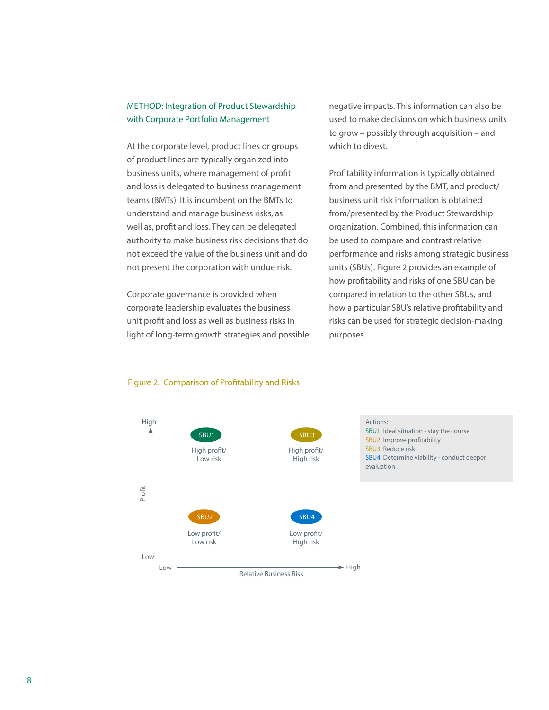### METHOD: Integration of Product Stewardship with Corporate Portfolio Management

At the corporate level, product lines or groups of product lines are typically organized into business units, where management of profit and loss is delegated to business management teams (BMTs). It is incumbent on the BMTs to understand and manage business risks, as well as, profit and loss. They can be delegated authority to make business risk decisions that do not exceed the value of the business unit and do not present the corporation with undue risk.

Corporate governance is provided when corporate leadership evaluates the business unit profit and loss as well as business risks in light of long-term growth strategies and possible negative impacts. This information can also be used to make decisions on which business units to grow – possibly through acquisition – and which to divest.

Profitability information is typically obtained from and presented by the BMT, and product/ business unit risk information is obtained from/presented by the Product Stewardship organization. Combined, this information can be used to compare and contrast relative performance and risks among strategic business units (SBUs). Figure 2 provides an example of how profitability and risks of one SBU can be compared in relation to the other SBUs, and how a particular SBU's relative profitability and risks can be used for strategic decision-making purposes.



#### Figure 2. Comparison of Profitability and Risks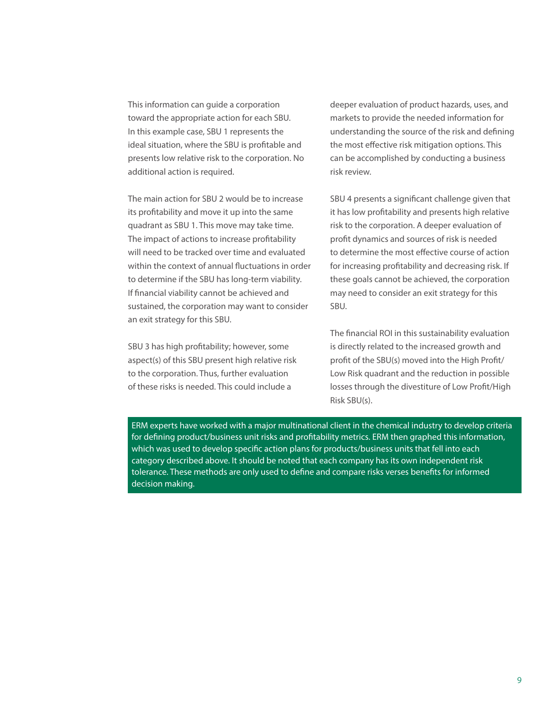This information can guide a corporation toward the appropriate action for each SBU. In this example case, SBU 1 represents the ideal situation, where the SBU is profitable and presents low relative risk to the corporation. No additional action is required.

The main action for SBU 2 would be to increase its profitability and move it up into the same quadrant as SBU 1. This move may take time. The impact of actions to increase profitability will need to be tracked over time and evaluated within the context of annual fluctuations in order to determine if the SBU has long-term viability. If financial viability cannot be achieved and sustained, the corporation may want to consider an exit strategy for this SBU.

SBU 3 has high profitability; however, some aspect(s) of this SBU present high relative risk to the corporation. Thus, further evaluation of these risks is needed. This could include a

deeper evaluation of product hazards, uses, and markets to provide the needed information for understanding the source of the risk and defining the most effective risk mitigation options. This can be accomplished by conducting a business risk review.

SBU 4 presents a significant challenge given that it has low profitability and presents high relative risk to the corporation. A deeper evaluation of profit dynamics and sources of risk is needed to determine the most effective course of action for increasing profitability and decreasing risk. If these goals cannot be achieved, the corporation may need to consider an exit strategy for this SBU.

The financial ROI in this sustainability evaluation is directly related to the increased growth and profit of the SBU(s) moved into the High Profit/ Low Risk quadrant and the reduction in possible losses through the divestiture of Low Profit/High Risk SBU(s).

ERM experts have worked with a major multinational client in the chemical industry to develop criteria for defining product/business unit risks and profitability metrics. ERM then graphed this information, which was used to develop specific action plans for products/business units that fell into each category described above. It should be noted that each company has its own independent risk tolerance. These methods are only used to define and compare risks verses benefits for informed decision making.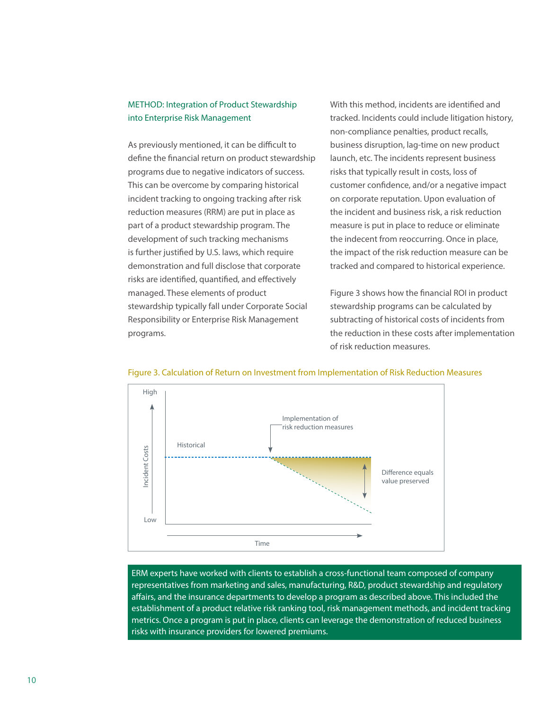## METHOD: Integration of Product Stewardship into Enterprise Risk Management

As previously mentioned, it can be difficult to define the financial return on product stewardship programs due to negative indicators of success. This can be overcome by comparing historical incident tracking to ongoing tracking after risk reduction measures (RRM) are put in place as part of a product stewardship program. The development of such tracking mechanisms is further justified by U.S. laws, which require demonstration and full disclose that corporate risks are identified, quantified, and effectively managed. These elements of product stewardship typically fall under Corporate Social Responsibility or Enterprise Risk Management programs.

With this method, incidents are identified and tracked. Incidents could include litigation history, non-compliance penalties, product recalls, business disruption, lag-time on new product launch, etc. The incidents represent business risks that typically result in costs, loss of customer confidence, and/or a negative impact on corporate reputation. Upon evaluation of the incident and business risk, a risk reduction measure is put in place to reduce or eliminate the indecent from reoccurring. Once in place, the impact of the risk reduction measure can be tracked and compared to historical experience.

Figure 3 shows how the financial ROI in product stewardship programs can be calculated by subtracting of historical costs of incidents from the reduction in these costs after implementation of risk reduction measures.





ERM experts have worked with clients to establish a cross-functional team composed of company representatives from marketing and sales, manufacturing, R&D, product stewardship and regulatory affairs, and the insurance departments to develop a program as described above. This included the establishment of a product relative risk ranking tool, risk management methods, and incident tracking metrics. Once a program is put in place, clients can leverage the demonstration of reduced business risks with insurance providers for lowered premiums.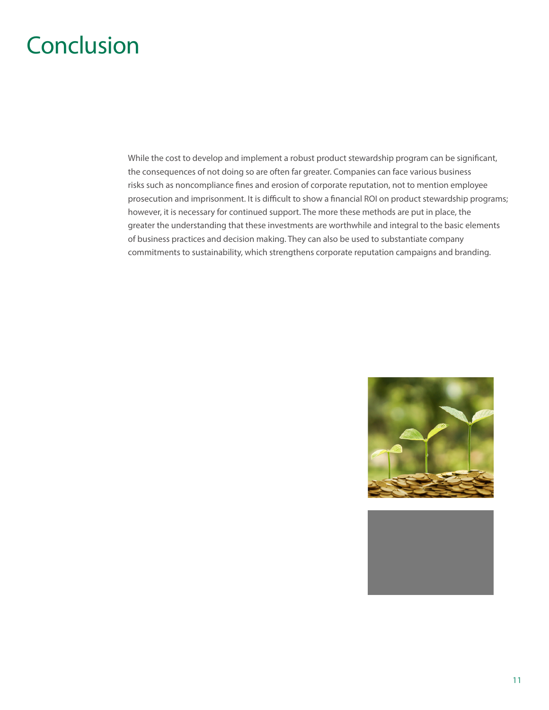# **Conclusion**

While the cost to develop and implement a robust product stewardship program can be significant, the consequences of not doing so are often far greater. Companies can face various business risks such as noncompliance fines and erosion of corporate reputation, not to mention employee prosecution and imprisonment. It is difficult to show a financial ROI on product stewardship programs; however, it is necessary for continued support. The more these methods are put in place, the greater the understanding that these investments are worthwhile and integral to the basic elements of business practices and decision making. They can also be used to substantiate company commitments to sustainability, which strengthens corporate reputation campaigns and branding.